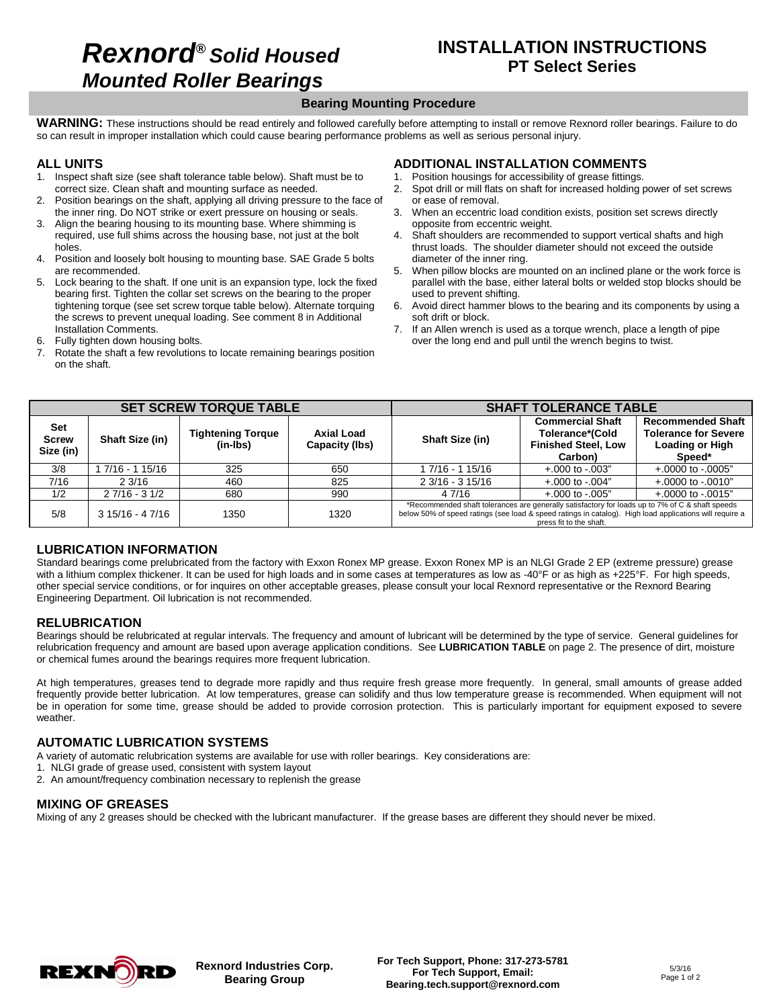## **Rexnord® Solid Housed Mounted Roller Bearings**

## **INSTALLATION INSTRUCTIONS PT Select Series**

#### **Bearing Mounting Procedure**

**WARNING:** These instructions should be read entirely and followed carefully before attempting to install or remove Rexnord roller bearings. Failure to do so can result in improper installation which could cause bearing performance problems as well as serious personal injury.

#### **ALL UNITS**

- 1. Inspect shaft size (see shaft tolerance table below). Shaft must be to correct size. Clean shaft and mounting surface as needed.
- 2. Position bearings on the shaft, applying all driving pressure to the face of the inner ring. Do NOT strike or exert pressure on housing or seals.
- 3. Align the bearing housing to its mounting base. Where shimming is required, use full shims across the housing base, not just at the bolt holes.
- 4. Position and loosely bolt housing to mounting base. SAE Grade 5 bolts are recommended.
- 5. Lock bearing to the shaft. If one unit is an expansion type, lock the fixed bearing first. Tighten the collar set screws on the bearing to the proper tightening torque (see set screw torque table below). Alternate torquing the screws to prevent unequal loading. See comment 8 in Additional Installation Comments.
- 6. Fully tighten down housing bolts.
- 7. Rotate the shaft a few revolutions to locate remaining bearings position on the shaft.

### **ADDITIONAL INSTALLATION COMMENTS**

- 1. Position housings for accessibility of grease fittings.<br>2. Spot drill or mill flats on shaft for increased holding.
- Spot drill or mill flats on shaft for increased holding power of set screws or ease of removal.
- 3. When an eccentric load condition exists, position set screws directly opposite from eccentric weight.
- 4. Shaft shoulders are recommended to support vertical shafts and high thrust loads. The shoulder diameter should not exceed the outside diameter of the inner ring.
- 5. When pillow blocks are mounted on an inclined plane or the work force is parallel with the base, either lateral bolts or welded stop blocks should be used to prevent shifting.
- Avoid direct hammer blows to the bearing and its components by using a soft drift or block.
- 7. If an Allen wrench is used as a torque wrench, place a length of pipe over the long end and pull until the wrench begins to twist.

|                                  |                        | <b>SET SCREW TORQUE TABLE</b>        |                              | <b>SHAFT TOLERANCE TABLE</b>                                                                                                                                                                                                          |                                                                                     |                                                                                             |  |  |
|----------------------------------|------------------------|--------------------------------------|------------------------------|---------------------------------------------------------------------------------------------------------------------------------------------------------------------------------------------------------------------------------------|-------------------------------------------------------------------------------------|---------------------------------------------------------------------------------------------|--|--|
| Set<br><b>Screw</b><br>Size (in) | <b>Shaft Size (in)</b> | <b>Tightening Torque</b><br>(in-Ibs) | Axial Load<br>Capacity (lbs) | <b>Shaft Size (in)</b>                                                                                                                                                                                                                | <b>Commercial Shaft</b><br>Tolerance*(Cold<br><b>Finished Steel, Low</b><br>Carbon) | <b>Recommended Shaft</b><br><b>Tolerance for Severe</b><br><b>Loading or High</b><br>Speed* |  |  |
| 3/8                              | 7/16 - 1 15/16         | 325                                  | 650                          | 1 7/16 - 1 15/16                                                                                                                                                                                                                      | $+.000$ to $-.003"$                                                                 | $+.0000$ to $-.0005"$                                                                       |  |  |
| 7/16                             | 2.3/16                 | 460                                  | 825                          | 2 3/16 - 3 15/16                                                                                                                                                                                                                      | $+.000$ to $-.004"$                                                                 | $+.0000$ to $-.0010"$                                                                       |  |  |
| 1/2                              | $27/16 - 31/2$         | 680                                  | 990                          | 4 7/16                                                                                                                                                                                                                                | $+.000$ to $-.005"$                                                                 | $+.0000$ to $-.0015"$                                                                       |  |  |
| 5/8                              | $315/16 - 47/16$       | 1350                                 | 1320                         | *Recommended shaft tolerances are generally satisfactory for loads up to 7% of C & shaft speeds<br>below 50% of speed ratings (see load & speed ratings in catalog). High load applications will require a<br>press fit to the shaft. |                                                                                     |                                                                                             |  |  |

### **LUBRICATION INFORMATION**

Standard bearings come prelubricated from the factory with Exxon Ronex MP grease. Exxon Ronex MP is an NLGI Grade 2 EP (extreme pressure) grease with a lithium complex thickener. It can be used for high loads and in some cases at temperatures as low as -40°F or as high as +225°F. For high speeds, other special service conditions, or for inquires on other acceptable greases, please consult your local Rexnord representative or the Rexnord Bearing Engineering Department. Oil lubrication is not recommended.

#### **RELUBRICATION**

Bearings should be relubricated at regular intervals. The frequency and amount of lubricant will be determined by the type of service. General guidelines for relubrication frequency and amount are based upon average application conditions. See **LUBRICATION TABLE** on page 2. The presence of dirt, moisture or chemical fumes around the bearings requires more frequent lubrication.

At high temperatures, greases tend to degrade more rapidly and thus require fresh grease more frequently. In general, small amounts of grease added frequently provide better lubrication. At low temperatures, grease can solidify and thus low temperature grease is recommended. When equipment will not be in operation for some time, grease should be added to provide corrosion protection. This is particularly important for equipment exposed to severe weather.

#### **AUTOMATIC LUBRICATION SYSTEMS**

A variety of automatic relubrication systems are available for use with roller bearings. Key considerations are:

- 1. NLGI grade of grease used, consistent with system layout
- 2. An amount/frequency combination necessary to replenish the grease

#### **MIXING OF GREASES**

Mixing of any 2 greases should be checked with the lubricant manufacturer. If the grease bases are different they should never be mixed.